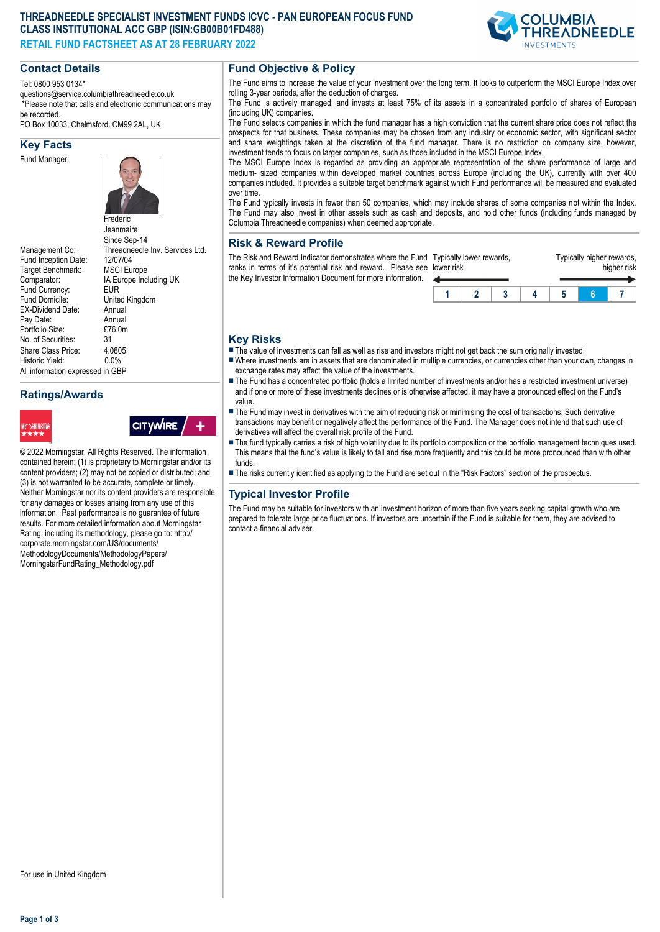#### **THREADNEEDLE SPECIALIST INVESTMENT FUNDS ICVC - PAN EUROPEAN FOCUS FUND CLASS INSTITUTIONAL ACC GBP (ISIN:GB00B01FD488) RETAIL FUND FACTSHEET AS AT 28 FEBRUARY 2022**



#### **Contact Details**

Tel: 0800 953 0134\*

questions@service.columbiathreadneedle.co.uk \*Please note that calls and electronic communications may be recorded.

PO Box 10033, Chelmsford. CM99 2AL, UK

#### **Key Facts**

Fund Manager:



**Jeanmaire** 

Since Sep-14 Management Co: Threadneedle Inv. Services Ltd.<br>Fund Incention Date: 12/07/04 Fund Inception Date: 12/07/04<br>Target Benchmark: MSCI Europe Target Benchmark:<br>Comparator: IA Europe Including UK<br>EUR Fund Currency:<br>Fund Domicile: United Kingdom<br>Annual EX-Dividend Date: Annual<br>Pav Date: Annual Pay Date: Annual<br>Portfolio Size: £76.0m Portfolio Size: £7<br>No. of Securities: 31 No. of Securities: Share Class Price: 4.0805<br>Historic Yield: 0.0% Historic Yield: 0.0% All information expressed in GBP

# **Ratings/Awards**



**CITYWIRE** 

© 2022 Morningstar. All Rights Reserved. The information contained herein: (1) is proprietary to Morningstar and/or its content providers; (2) may not be copied or distributed; and (3) is not warranted to be accurate, complete or timely. Neither Morningstar nor its content providers are responsible for any damages or losses arising from any use of this information. Past performance is no guarantee of future results. For more detailed information about Morningstar Rating, including its methodology, please go to: http:// corporate.morningstar.com/US/documents/ MethodologyDocuments/MethodologyPapers/ MorningstarFundRating\_Methodology.pdf

# **Fund Objective & Policy**

The Fund aims to increase the value of your investment over the long term. It looks to outperform the MSCI Europe Index over rolling 3-year periods, after the deduction of charges.

The Fund is actively managed, and invests at least 75% of its assets in a concentrated portfolio of shares of European (including UK) companies.

The Fund selects companies in which the fund manager has a high conviction that the current share price does not reflect the prospects for that business. These companies may be chosen from any industry or economic sector, with significant sector and share weightings taken at the discretion of the fund manager. There is no restriction on company size, however, investment tends to focus on larger companies, such as those included in the MSCI Europe Index.

The MSCI Europe Index is regarded as providing an appropriate representation of the share performance of large and medium- sized companies within developed market countries across Europe (including the UK), currently with over 400 companies included. It provides a suitable target benchmark against which Fund performance will be measured and evaluated over time.

The Fund typically invests in fewer than 50 companies, which may include shares of some companies not within the Index. The Fund may also invest in other assets such as cash and deposits, and hold other funds (including funds managed by Columbia Threadneedle companies) when deemed appropriate.

# **Risk & Reward Profile**

The Risk and Reward Indicator demonstrates where the Fund Typically lower rewards, ranks in terms of it's potential risk and reward. Please see lower risk the Key Investor Information Document for more information.



## **Key Risks**

- $\blacksquare$  The value of investments can fall as well as rise and investors might not get back the sum originally invested.
- nWhere investments are in assets that are denominated in multiple currencies, or currencies other than your own, changes in exchange rates may affect the value of the investments.
- n The Fund has a concentrated portfolio (holds a limited number of investments and/or has a restricted investment universe) and if one or more of these investments declines or is otherwise affected, it may have a pronounced effect on the Fund's value.
- The Fund may invest in derivatives with the aim of reducing risk or minimising the cost of transactions. Such derivative transactions may benefit or negatively affect the performance of the Fund. The Manager does not intend that such use of derivatives will affect the overall risk profile of the Fund.
- The fund typically carries a risk of high volatility due to its portfolio composition or the portfolio management techniques used. This means that the fund's value is likely to fall and rise more frequently and this could be more pronounced than with other funds.
- n The risks currently identified as applying to the Fund are set out in the "Risk Factors" section of the prospectus.

# **Typical Investor Profile**

The Fund may be suitable for investors with an investment horizon of more than five years seeking capital growth who are prepared to tolerate large price fluctuations. If investors are uncertain if the Fund is suitable for them, they are advised to contact a financial adviser.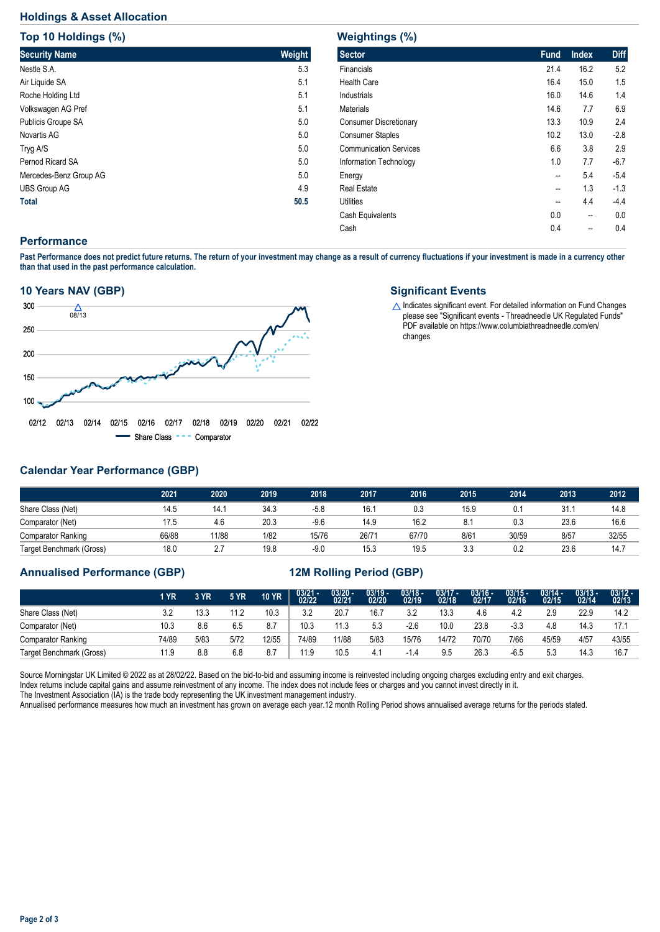## **Holdings & Asset Allocation**

**Top 10 Holdings (%)**

| <b>TOD 10 HOIGINGS (%)</b> |        |
|----------------------------|--------|
| <b>Security Name</b>       | Weight |
| Nestle S.A.                | 5.3    |
| Air Liquide SA             | 5.1    |
| Roche Holding Ltd          | 5.1    |
| Volkswagen AG Pref         | 5.1    |
| Publicis Groupe SA         | 5.0    |
| Novartis AG                | 5.0    |
| Tryg A/S                   | 5.0    |
| Pernod Ricard SA           | 5.0    |
| Mercedes-Benz Group AG     | 5.0    |
| <b>UBS Group AG</b>        | 4.9    |
| <b>Total</b>               | 50.5   |

## **Weightings (%)**

| <b>Sector</b>                 | <b>Fund</b> | <b>Index</b> | <b>Diff</b> |
|-------------------------------|-------------|--------------|-------------|
| Financials                    | 21.4        | 16.2         | 5.2         |
| <b>Health Care</b>            | 16.4        | 15.0         | 1.5         |
| Industrials                   | 16.0        | 14.6         | 1.4         |
| <b>Materials</b>              | 14.6        | 7.7          | 6.9         |
| <b>Consumer Discretionary</b> | 13.3        | 10.9         | 2.4         |
| <b>Consumer Staples</b>       | 10.2        | 13.0         | $-2.8$      |
| <b>Communication Services</b> | 6.6         | 3.8          | 2.9         |
| Information Technology        | 1.0         | 7.7          | $-6.7$      |
| Energy                        | --          | 5.4          | $-5.4$      |
| <b>Real Estate</b>            | --          | 1.3          | $-1.3$      |
| <b>Utilities</b>              | --          | 4.4          | $-4.4$      |
| Cash Equivalents              | 0.0         | --           | 0.0         |
| Cash                          | 0.4         | --           | 0.4         |
|                               |             |              |             |

## **Performance**

**Past Performance does not predict future returns. The return of your investment may change as a result of currency fluctuations if your investment is made in a currency other than that used in the past performance calculation.** 

#### **10 Years NAV (GBP)**



#### **Significant Events**

 $\Delta$  Indicates significant event. For detailed information on Fund Changes please see "Significant events - Threadneedle UK Regulated Funds" PDF available on https://www.columbiathreadneedle.com/en/ changes

# **Calendar Year Performance (GBP)**

|                           | 2021  | 2020  | 2019 | 2018   | 2017  | 2016  | 2015 | 2014  | 2013 | 2012  |
|---------------------------|-------|-------|------|--------|-------|-------|------|-------|------|-------|
| Share Class (Net)         | 14.5  | 14.1  | 34.3 | $-5.8$ | 16.7  | 0.3   | 15.9 |       | 31.  | 14.8  |
| Comparator (Net)          | 17.5  | 4.6   | 20.3 | $-9.6$ | 14.9  | 16.2  | 8.1  | 0.3   | 23.6 | 16.6  |
| <b>Comparator Ranking</b> | 66/88 | 11/88 | 1/82 | 15/76  | 26/71 | 67/70 | 8/61 | 30/59 | 8/57 | 32/55 |
| Target Benchmark (Gross)  | 18.0  | 2.7   | 19.8 | $-9.0$ | 15.3  | 19.5  | 3.3  | 0.2   | 23.6 | 14.7  |

## **Annualised Performance (GBP) 12M Rolling Period (GBP)**

|                           | 1 YR  | 3 YR | <b>5 YR</b> | <b>10 YR</b> | $03/21 - 02/22$ | $03/20 -$<br>02/21 | $03/19 -$<br>02/20 | $03/18 -$<br>02/19 | $03/17 -$<br>02/18 | $03/16 -$<br>02/17 | $03/15 -$<br>02/16 | $03/14 -$<br>02/15 | $03/13 -$<br>02/14 | $03/12 -$<br>02/13 |
|---------------------------|-------|------|-------------|--------------|-----------------|--------------------|--------------------|--------------------|--------------------|--------------------|--------------------|--------------------|--------------------|--------------------|
| Share Class (Net)         |       | 13.3 | 11.2        | 10.3         | 3.2             | 20.7               | 16.7               | 3.2                | 13.3               | 4.6                | 4.2                | 2.9                | 22.9               | 14.2               |
| Comparator (Net)          | 10.3  | 8.6  | 6.5         | 8.7          | 10.3            | 11.3               | 5.3                | $-2.6$             | 10.0               | 23.8               | $-3.3$             | 4.8                | 14.3               | 17.7               |
| <b>Comparator Ranking</b> | 74/89 | 5/83 | 5/72        | 12/55        | 74/89           | 11/88              | 5/83               | 15/76              | 14/72              | 70/70              | 7/66               | 45/59              | 4/57               | 43/55              |
| Target Benchmark (Gross)  | 11.9  | 8.8  | 6.8         | 8.7          | 11.9            | 10.5               | 4.                 |                    | 9.5                | 26.3               | $-6.5$             | 5.3                | 14.3               | 16.7               |

Source Morningstar UK Limited @ 2022 as at 28/02/22. Based on the bid-to-bid and assuming income is reinvested including ongoing charges excluding entry and exit charges. Index returns include capital gains and assume reinvestment of any income. The index does not include fees or charges and you cannot invest directly in it. The Investment Association (IA) is the trade body representing the UK investment management industry.

Annualised performance measures how much an investment has grown on average each year.12 month Rolling Period shows annualised average returns for the periods stated.